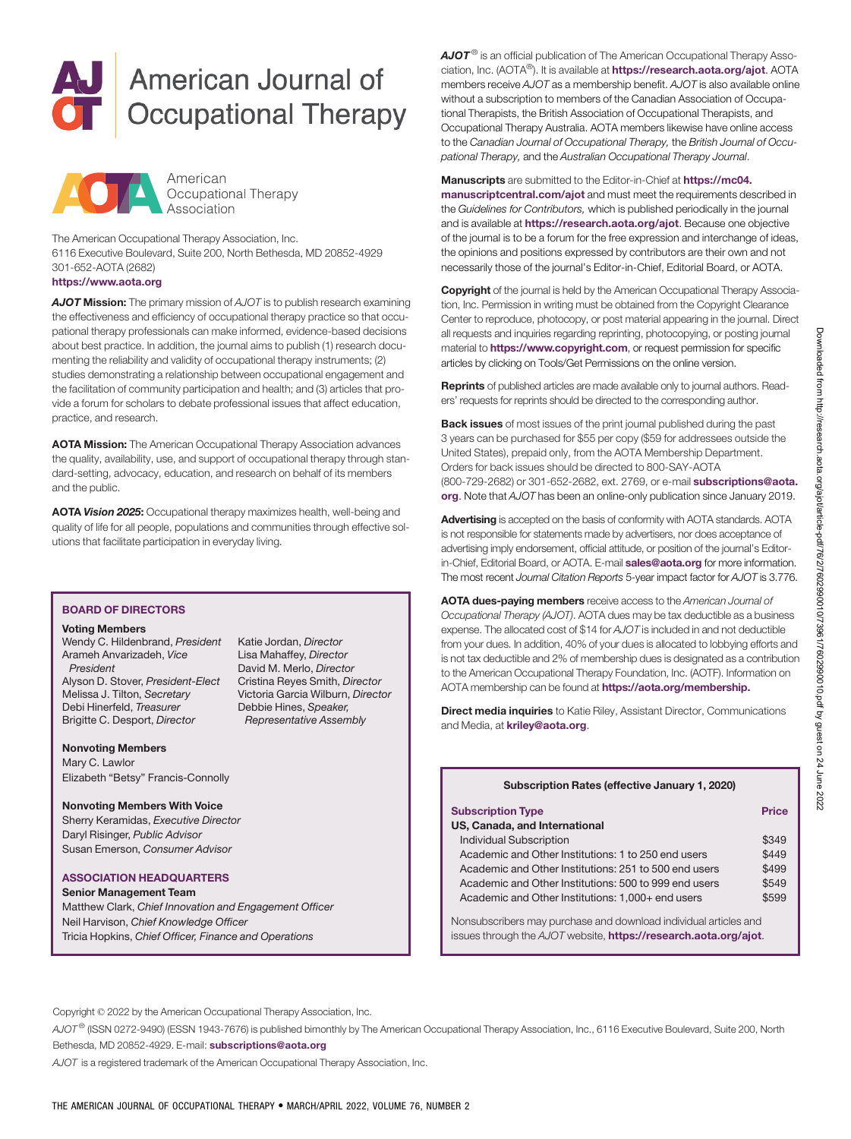# American Journal of **Occupational Therapy**



The American Occupational Therapy Association, Inc. 6116 Executive Boulevard, Suite 200, North Bethesda, MD 20852-4929 301-652-AOTA (2682)

# <https://www.aota.org>

AJOT Mission: The primary mission of AJOT is to publish research examining the effectiveness and efficiency of occupational therapy practice so that occupational therapy professionals can make informed, evidence-based decisions about best practice. In addition, the journal aims to publish (1) research documenting the reliability and validity of occupational therapy instruments; (2) studies demonstrating a relationship between occupational engagement and the facilitation of community participation and health; and (3) articles that provide a forum for scholars to debate professional issues that affect education, practice, and research.

AOTA Mission: The American Occupational Therapy Association advances the quality, availability, use, and support of occupational therapy through standard-setting, advocacy, education, and research on behalf of its members and the public.

AOTA Vision 2025: Occupational therapy maximizes health, well-being and quality of life for all people, populations and communities through effective solutions that facilitate participation in everyday living.

# BOARD OF DIRECTORS

#### Voting Members

Wendy C. Hildenbrand, President Arameh Anvarizadeh, Vice President Alyson D. Stover, President-Elect Melissa J. Tilton, Secretary Debi Hinerfeld, Treasurer Brigitte C. Desport, Director

Katie Jordan, Director Lisa Mahaffey, Director David M. Merlo, Director Cristina Reyes Smith, Director Victoria Garcia Wilburn, Director Debbie Hines, Speaker, Representative Assembly

#### Nonvoting Members

Mary C. Lawlor Elizabeth "Betsy" Francis-Connolly

## Nonvoting Members With Voice

Sherry Keramidas, Executive Director Daryl Risinger, Public Advisor Susan Emerson, Consumer Advisor

### ASSOCIATION HEADQUARTERS

Senior Management Team Matthew Clark, Chief Innovation and Engagement Officer Neil Harvison, Chief Knowledge Officer Tricia Hopkins, Chief Officer, Finance and Operations

 $A$ JO $T^{\circledcirc}$  is an official publication of The American Occupational Therapy Association, Inc. (AOTA®). It is available at <https://research.aota.org/ajot>. AOTA members receive AJOT as a membership benefit. AJOT is also available online without a subscription to members of the Canadian Association of Occupational Therapists, the British Association of Occupational Therapists, and Occupational Therapy Australia. AOTA members likewise have online access to the Canadian Journal of Occupational Therapy, the British Journal of Occupational Therapy, and the Australian Occupational Therapy Journal.

#### Manuscripts are submitted to the Editor-in-Chief at [https://mc04.](https://mc04.manuscriptcentral.com/ajot)

[manuscriptcentral.com/ajot](https://mc04.manuscriptcentral.com/ajot) and must meet the requirements described in the Guidelines for Contributors, which is published periodically in the journal and is available at <https://research.aota.org/ajot>. Because one objective of the journal is to be a forum for the free expression and interchange of ideas, the opinions and positions expressed by contributors are their own and not necessarily those of the journal's Editor-in-Chief, Editorial Board, or AOTA.

**Copyright** of the journal is held by the American Occupational Therapy Association, Inc. Permission in writing must be obtained from the Copyright Clearance Center to reproduce, photocopy, or post material appearing in the journal. Direct all requests and inquiries regarding reprinting, photocopying, or posting journal material to **<https://www.copyright.com>**, or request permission for specific articles by clicking on Tools/Get Permissions on the online version.

Reprints of published articles are made available only to journal authors. Readers' requests for reprints should be directed to the corresponding author.

Back issues of most issues of the print journal published during the past 3 years can be purchased for \$55 per copy (\$59 for addressees outside the United States), prepaid only, from the AOTA Membership Department. Orders for back issues should be directed to 800-SAY-AOTA (800-729-2682) or 301-652-2682, ext. 2769, or e-mail [subscriptions@aota.](subscriptions.org) [org](subscriptions.org). Note that AJOT has been an online-only publication since January 2019.

Advertising is accepted on the basis of conformity with AOTA standards. AOTA is not responsible for statements made by advertisers, nor does acceptance of advertising imply endorsement, official attitude, or position of the journal's Editorin-Chief, Editorial Board, or AOTA. E-mail [sales@aota.org](https://kriley.org) for more information. The most recent Journal Citation Reports 5-year impact factor for AJOT is 3.776.

AOTA dues-paying members receive access to the American Journal of Occupational Therapy (AJOT). AOTA dues may be tax deductible as a business expense. The allocated cost of \$14 for AJOT is included in and not deductible from your dues. In addition, 40% of your dues is allocated to lobbying efforts and is not tax deductible and 2% of membership dues is designated as a contribution to the American Occupational Therapy Foundation, Inc. (AOTF). Information on AOTA membership can be found at [https://aota.org/membership.](https://aota.org/membership)

**Direct media inquiries** to Katie Riley, Assistant Director, Communications and Media, at [kriley@aota.org](https://kriley.org).

| Subscription Rates (effective January 1, 2020)                   |       |
|------------------------------------------------------------------|-------|
|                                                                  |       |
| <b>Subscription Type</b><br>US, Canada, and International        | Price |
| <b>Individual Subscription</b>                                   | \$349 |
| Academic and Other Institutions: 1 to 250 end users              | \$449 |
| Academic and Other Institutions: 251 to 500 end users            | \$499 |
| Academic and Other Institutions: 500 to 999 end users            | \$549 |
| Academic and Other Institutions: 1,000+ end users                | \$599 |
| Nonsubscribers may purchase and download individual articles and |       |

issues through the AJOT website, <https://research.aota.org/ajot>.

Copyright © 2022 by the American Occupational Therapy Association, Inc.

AJOT® (ISSN 0272-9490) (ESSN 1943-7676) is published bimonthly by The American Occupational Therapy Association, Inc., 6116 Executive Boulevard, Suite 200, North Bethesda, MD 20852-4929. E-mail: [subscriptions@aota.org](subscriptions.org)

AJOT is a registered trademark of the American Occupational Therapy Association, Inc.